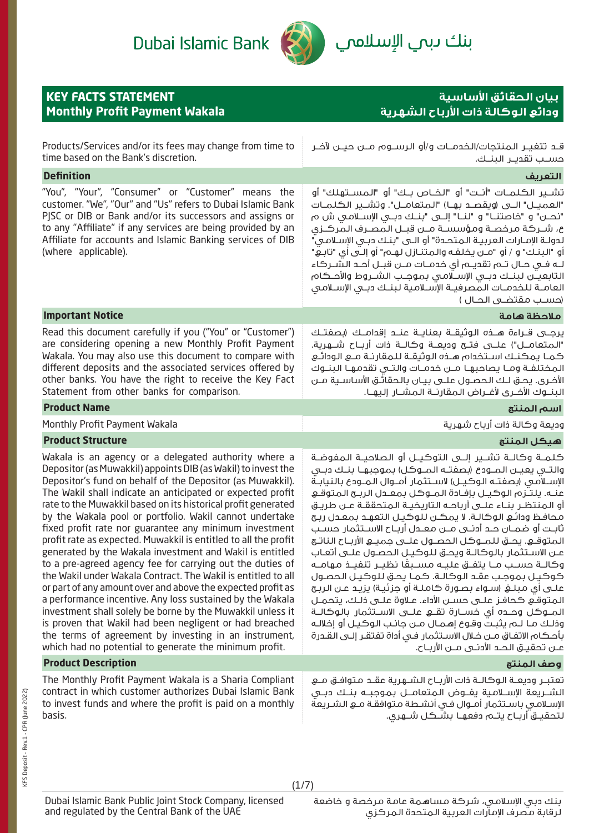

بنك ىبم ال<mark>إسلاممي</mark>

| <b>KEY FACTS STATEMENT</b><br><b>Monthly Profit Payment Wakala</b>                                                                                                                                                                                                                                                                                                                                                                                                                                                                                                                                                                                                                                                                                                                                                                                                                                                                                                                                                                                                           | بيان الحقائق الأساسية<br>ودائع الوكالة ذات الأرباح الشهرية                                                                                                                                                                                                                                                                                                                                                                                                                                                                                                                                                                                                                                                                                                                                                                                                                                                                                                                                                                                                                                                                     |
|------------------------------------------------------------------------------------------------------------------------------------------------------------------------------------------------------------------------------------------------------------------------------------------------------------------------------------------------------------------------------------------------------------------------------------------------------------------------------------------------------------------------------------------------------------------------------------------------------------------------------------------------------------------------------------------------------------------------------------------------------------------------------------------------------------------------------------------------------------------------------------------------------------------------------------------------------------------------------------------------------------------------------------------------------------------------------|--------------------------------------------------------------------------------------------------------------------------------------------------------------------------------------------------------------------------------------------------------------------------------------------------------------------------------------------------------------------------------------------------------------------------------------------------------------------------------------------------------------------------------------------------------------------------------------------------------------------------------------------------------------------------------------------------------------------------------------------------------------------------------------------------------------------------------------------------------------------------------------------------------------------------------------------------------------------------------------------------------------------------------------------------------------------------------------------------------------------------------|
| Products/Services and/or its fees may change from time to<br>time based on the Bank's discretion.                                                                                                                                                                                                                                                                                                                                                                                                                                                                                                                                                                                                                                                                                                                                                                                                                                                                                                                                                                            | حسـب تقديـر البنـك.                                                                                                                                                                                                                                                                                                                                                                                                                                                                                                                                                                                                                                                                                                                                                                                                                                                                                                                                                                                                                                                                                                            |
| <b>Definition</b>                                                                                                                                                                                                                                                                                                                                                                                                                                                                                                                                                                                                                                                                                                                                                                                                                                                                                                                                                                                                                                                            | التعريف                                                                                                                                                                                                                                                                                                                                                                                                                                                                                                                                                                                                                                                                                                                                                                                                                                                                                                                                                                                                                                                                                                                        |
| "You", "Your", "Consumer" or "Customer" means the<br>customer. "We", "Our" and "Us" refers to Dubai Islamic Bank<br>PISC or DIB or Bank and/or its successors and assigns or<br>to any "Affiliate" if any services are being provided by an<br>Affiliate for accounts and Islamic Banking services of DIB<br>(where applicable).                                                                                                                                                                                                                                                                                                                                                                                                                                                                                                                                                                                                                                                                                                                                             | تشــير الكـلمــات "أنــت" أو "الخــاص بــك" أو "المســتهلك" أو<br>"العميــــل" الـــــى (ويقصـــد بـهـــا) "الــمتعامــــل". وتشــــير الــــكـلمـــات<br>"نحـــــن" و "خاصتنـــــا" و "لنـــا" إلــــى "بنـــك دبـــى الإســـلامــى ش م<br>ع، شــركة مرخصـة ومؤسسـة مــن قبــل الـمصـرف الـمركــزى<br>لدولــة الإمــارات الـعربيــة الـمـتحــدة" أو الـــى "بنــك دبــى الإســلامــى "<br>أو "البنـك" و / أو "مــن يخلفـه والـمتنـازل لهـم" أو إلـى أى "تابـع"<br>لــه فــى حــال تــم تقديــم أي خدمــات مــن قبــل أحــد الشــركاء<br>التابعيــن لبنــك دبــى الإســلامـى بموجـب الشــروط والأحــكام<br>العامــة للــفـدمــات الـمصرفيــة الإســلامـية لـبـنــك دبــى الإســلامـى<br>(حسـب مقتضـۍ الحـال )                                                                                                                                                                                                                                                                                                                                                                                                                  |
| <b>Important Notice</b>                                                                                                                                                                                                                                                                                                                                                                                                                                                                                                                                                                                                                                                                                                                                                                                                                                                                                                                                                                                                                                                      | ملاحظة هامة                                                                                                                                                                                                                                                                                                                                                                                                                                                                                                                                                                                                                                                                                                                                                                                                                                                                                                                                                                                                                                                                                                                    |
| Read this document carefully if you ("You" or "Customer")<br>are considering opening a new Monthly Profit Payment<br>Wakala. You may also use this document to compare with<br>different deposits and the associated services offered by<br>other banks. You have the right to receive the Key Fact<br>Statement from other banks for comparison.                                                                                                                                                                                                                                                                                                                                                                                                                                                                                                                                                                                                                                                                                                                            | يرجــي قــراءة هـــذه الـوثيقــة بـعنايــة عنـــد إقدامــك (بصفتــك<br>"المتعامـــل") علــــى فتـــح وديعـــة وكـالـــة ذات أربـــاح شـــــوـرية.<br>كمـا يمكنـك اسـتخدام هـذه الوثيقـة للمقارنـة مـع الـودائـع<br>المختلفـة ومــا يصاحبهــا مــن خدمــات والـتــى تقدمهــا الـبنــوك<br>الأخرى. يحق لـك الحصـول علــى بيـان بالحقائـق الأساسـية مــن<br>البنــوك الأضـرى لأغــراض الـمقارنــة الـمشــار إلـيهــا.                                                                                                                                                                                                                                                                                                                                                                                                                                                                                                                                                                                                                                                                                                             |
| <b>Product Name</b>                                                                                                                                                                                                                                                                                                                                                                                                                                                                                                                                                                                                                                                                                                                                                                                                                                                                                                                                                                                                                                                          | اسم المنتج                                                                                                                                                                                                                                                                                                                                                                                                                                                                                                                                                                                                                                                                                                                                                                                                                                                                                                                                                                                                                                                                                                                     |
| Monthly Profit Payment Wakala                                                                                                                                                                                                                                                                                                                                                                                                                                                                                                                                                                                                                                                                                                                                                                                                                                                                                                                                                                                                                                                | وديعة وكالة ذات أرباح شهرية                                                                                                                                                                                                                                                                                                                                                                                                                                                                                                                                                                                                                                                                                                                                                                                                                                                                                                                                                                                                                                                                                                    |
| <b>Product Structure</b>                                                                                                                                                                                                                                                                                                                                                                                                                                                                                                                                                                                                                                                                                                                                                                                                                                                                                                                                                                                                                                                     | هيكل المنتج                                                                                                                                                                                                                                                                                                                                                                                                                                                                                                                                                                                                                                                                                                                                                                                                                                                                                                                                                                                                                                                                                                                    |
| Wakala is an agency or a delegated authority where a<br>Depositor (as Muwakkil) appoints DIB (as Wakil) to invest the<br>Depositor's fund on behalf of the Depositor (as Muwakkil).<br>The Wakil shall indicate an anticipated or expected profit<br>rate to the Muwakkil based on its historical profit generated<br>by the Wakala pool or portfolio. Wakil cannot undertake<br>fixed profit rate nor guarantee any minimum investment<br>profit rate as expected. Muwakkil is entitled to all the profit<br>generated by the Wakala investment and Wakil is entitled<br>to a pre-agreed agency fee for carrying out the duties of<br>the Wakil under Wakala Contract. The Wakil is entitled to all<br>or part of any amount over and above the expected profit as<br>a performance incentive. Any loss sustained by the Wakala<br>investment shall solely be borne by the Muwakkil unless it<br>is proven that Wakil had been negligent or had breached<br>the terms of agreement by investing in an instrument,<br>which had no potential to generate the minimum profit. | كـلمــة وكالــة تشــير إلـــى التوكـيــل أو الصلاحيــة الـمفوضــة<br>والتــى يعيــن المــودع (بصفتـه المــوكل) بموجبهـا بنــك دبــى<br>الإسـلامـى (بصفتـه الـوكيـل) لاسـتثمار أمــوال الـمــودع بالنيابـة<br>عنـه. يلتـزم الوكيـل بإفـادة المـوكل بمعـدل الربـح المتوقـع<br>أو المنتظـر بنــاء علــى أرباحــه الـتاريخيــة الـمتحققــة عــن طريــق<br>محافظ ودائع الوكالـة. لا يمكـن للوكيـل التعهـد بمعـدل ربـح<br>ثابـت أو ضمــان حــد أدنــى مــن مـعــدل أربــاح الاســتثمار حســب<br>المتوقــــو. يحـــق لـلمـــوكـل الـحصــول علــــى جميــــو الأربــاح الـناتــج<br>عـن الاسـتثمار بالوكالـة ويحـق للوكيـل الحصـول علـى أتعـاب<br>وكالــة حسـب مــا يتفــق عليــه مســبقًا نظيــر تنفيــذ مـهامــه<br>كوكيل بموجب عقد الوكالة. كما يحق للوكيل الحصول<br>علــى أى مـبلــــفي (ســـواء بـصــورة كــامـلــة أو جزئيــة) يزيــد عــن الـربــح<br>المتوقع كحافز علـى حسـن الأداء. عـلاوة علـى ذلـك، يتحمـل<br>المـــوكـل وحـــده أي خســارة تقـــع علـــى الاســـتثمار بالـوكالــة<br>وذلك مـا لــم يثبـت وقـوع إهـمـال مــن جانـب الـوكـيـل أو إخلالـه<br>بأحكام الاتفاق مـن خـلال الاسـتثمار فـى أداة تفتقـر إلـى القـدرة |
| <b>Product Description</b>                                                                                                                                                                                                                                                                                                                                                                                                                                                                                                                                                                                                                                                                                                                                                                                                                                                                                                                                                                                                                                                   | وصف المنتج                                                                                                                                                                                                                                                                                                                                                                                                                                                                                                                                                                                                                                                                                                                                                                                                                                                                                                                                                                                                                                                                                                                     |
| The Monthly Profit Payment Wakala is a Sharia Compliant<br>contract in which customer authorizes Dubai Islamic Bank                                                                                                                                                                                                                                                                                                                                                                                                                                                                                                                                                                                                                                                                                                                                                                                                                                                                                                                                                          | تعتبـر وديعــة الـوكالــة ذات الأربــاح الشــهرية عقــد مـتوافــق مــع<br>الشريعة الاسلامية بفروض المتعامل بموجبه بنبك ديرى                                                                                                                                                                                                                                                                                                                                                                                                                                                                                                                                                                                                                                                                                                                                                                                                                                                                                                                                                                                                    |

contract in which customer authorizes Dubai Islamic Bank to invest funds and where the profit is paid on a monthly basis.

and regulated by the Central Bank of the UAE

الشــريعة اإلســامية يفــوض المتعامــل بموجبــه بنــك دبــي اإلسـامي باسـتثمار أمـوال فـي أنشـطة متوافقـة مـع الشـريعة لتحقيــق أربــاح يتــم دفعهــا بشــكل شــهري.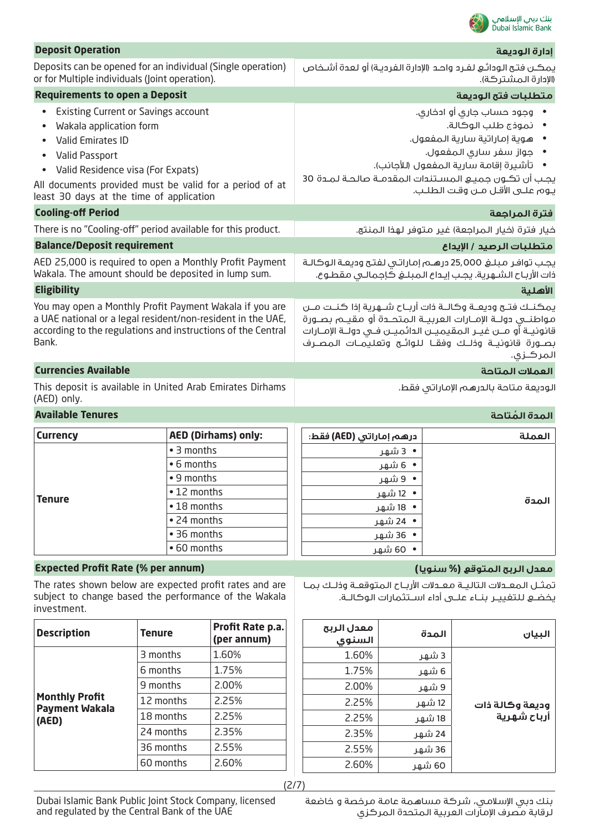

| <b>Deposit Operation</b>                                                                                                                                                                                                                                                                  |                                                                                                                   |                                                                                                                                                                                                                                                                                                             | إدارة الوديعة                                                                                                                            |
|-------------------------------------------------------------------------------------------------------------------------------------------------------------------------------------------------------------------------------------------------------------------------------------------|-------------------------------------------------------------------------------------------------------------------|-------------------------------------------------------------------------------------------------------------------------------------------------------------------------------------------------------------------------------------------------------------------------------------------------------------|------------------------------------------------------------------------------------------------------------------------------------------|
| Deposits can be opened for an individual (Single operation)<br>or for Multiple individuals (Joint operation).                                                                                                                                                                             |                                                                                                                   |                                                                                                                                                                                                                                                                                                             | يمكـن فتح الودائـع لفـرد واحـد (الإدارة الفرديـة) أو لعدة أشـخاص<br>(الإدارة المشتركة).                                                  |
| <b>Requirements to open a Deposit</b>                                                                                                                                                                                                                                                     |                                                                                                                   |                                                                                                                                                                                                                                                                                                             | متطلبات فتح الوديعة                                                                                                                      |
| <b>Existing Current or Savings account</b><br>$\bullet$<br>Wakala application form<br>Valid Emirates ID<br><b>Valid Passport</b><br>Valid Residence visa (For Expats)<br>$\bullet$<br>All documents provided must be valid for a period of at<br>least 30 days at the time of application |                                                                                                                   | وجود حساب جاري أو ادخاري.<br>• نموذج طلب الوكالة.<br>• هوية إماراتية سارية المفعول.<br>• جواز سفر سارى المفعول.<br>•     تأشيرة إقامة سارية المفعول (للأجانب).<br>يجب أن تكـون جميـع المسـتندات المقدمـة صالحـة لمـدة 30<br>يوم علـى الأقـل مـن وقت الطلـب.                                                 |                                                                                                                                          |
| <b>Cooling-off Period</b>                                                                                                                                                                                                                                                                 |                                                                                                                   |                                                                                                                                                                                                                                                                                                             | فترة المراجعة                                                                                                                            |
|                                                                                                                                                                                                                                                                                           | There is no "Cooling-off" period available for this product.                                                      |                                                                                                                                                                                                                                                                                                             | خيار فترة (خيار المراجعة) غير متوفر لهذا المنتج.                                                                                         |
| <b>Balance/Deposit requirement</b>                                                                                                                                                                                                                                                        |                                                                                                                   |                                                                                                                                                                                                                                                                                                             | متطلبات الرصيد / الإيداع                                                                                                                 |
| Wakala. The amount should be deposited in lump sum.                                                                                                                                                                                                                                       | AED 25,000 is required to open a Monthly Profit Payment                                                           | يجب توافر مبلغ 25,000 درهـم إماراتى لفتح وديعـة الوكالـة<br>ذات الأرباح الشـهرية. يجـب إيـداع الـمبلـغ كَإجمالـى مقطـوع.                                                                                                                                                                                    |                                                                                                                                          |
| <b>Eligibility</b>                                                                                                                                                                                                                                                                        |                                                                                                                   |                                                                                                                                                                                                                                                                                                             | الأهلية                                                                                                                                  |
| You may open a Monthly Profit Payment Wakala if you are<br>a UAE national or a legal resident/non-resident in the UAE,<br>according to the regulations and instructions of the Central<br>Bank.                                                                                           |                                                                                                                   | يمكنـك فتـح وديعــة وكالــة ذات أربــاح شـــهرية إذا كنــت مــن<br>مواطنـــى دولـــة الإمـــارات الـعربيـــة الـمـتحـــدة أو مـقـيـــم بـصـــورة<br>قانونيــة أو مـــن غيــر الـمقيميــن الـدائميــن فــى دولــة الإمــارات<br>بصــورة قانونيــة وذلــك وفقــا للـوائــح وتعليـمــات الـمصــرف<br>المركـزى. |                                                                                                                                          |
| <b>Currencies Available</b>                                                                                                                                                                                                                                                               |                                                                                                                   |                                                                                                                                                                                                                                                                                                             | العملات المتاحة                                                                                                                          |
| This deposit is available in United Arab Emirates Dirhams<br>(AED) only.                                                                                                                                                                                                                  |                                                                                                                   | الوديعة متاحة بالدرهم الإماراتي فقط.                                                                                                                                                                                                                                                                        |                                                                                                                                          |
| <b>Available Tenures</b>                                                                                                                                                                                                                                                                  |                                                                                                                   |                                                                                                                                                                                                                                                                                                             | المدة المُتاحة                                                                                                                           |
| <b>Currency</b>                                                                                                                                                                                                                                                                           | <b>AED (Dirhams) only:</b>                                                                                        | درهم إماراتي (AED) فقط:                                                                                                                                                                                                                                                                                     | العملة                                                                                                                                   |
| <b>Tenure</b>                                                                                                                                                                                                                                                                             | • 3 months<br>• 6 months<br>• 9 months<br>• 12 months<br>• 18 months<br>• 24 months<br>• 36 months<br>• 60 months | • 3 شهر<br>• 6 شهر<br>• 9 شھر<br>•  12 شهر<br>•  18 شهر<br>•  24 شھر<br>• 36 شھر<br>• 60 شهر                                                                                                                                                                                                                | المدة                                                                                                                                    |
| <b>Expected Profit Rate (% per annum)</b>                                                                                                                                                                                                                                                 |                                                                                                                   |                                                                                                                                                                                                                                                                                                             | معدل الربح المتوقع (% سنويا)                                                                                                             |
| The rates shown below are expected profit rates and are<br>subject to change based the performance of the Wakala<br>investment.                                                                                                                                                           |                                                                                                                   |                                                                                                                                                                                                                                                                                                             | تمثـل المعـدلات التاليـة معـدلات الأربـاح المتوقعـة وذلـك بمـا<br>يخضـــــع لـلـتغييـــر  بنـــاء علــــى أداء اســـتثمارات الـوكالـــة. |

| <b>Description</b>                             | <b>Tenure</b> | Profit Rate p.a.<br>(per annum) | معدل الربح<br>السنوى | المدة  | البيان          |
|------------------------------------------------|---------------|---------------------------------|----------------------|--------|-----------------|
|                                                | 3 months      | 1.60%                           | 1.60%                | 3 شھر  |                 |
|                                                | 6 months      | 1.75%                           | 1.75%                | 6 شھر  |                 |
|                                                | 9 months      | 2.00%                           | 2.00%                | 9 شھر  |                 |
| <b>Monthly Profit</b><br><b>Payment Wakala</b> | 12 months     | 2.25%                           | 2.25%                | 12 شھر | وديعة وكالة ذات |
| (AED)                                          | 18 months     | 2.25%                           | 2.25%                | 18 شهر | أرباح شهرية     |
|                                                | 24 months     | 2.35%                           | 2.35%                | 24 شھر |                 |
|                                                | 36 months     | 2.55%                           | 2.55%                | 36 شھر |                 |
|                                                | 60 months     | 2.60%                           | 2.60%                | 60 شھر |                 |
|                                                |               |                                 |                      |        |                 |

(2/7)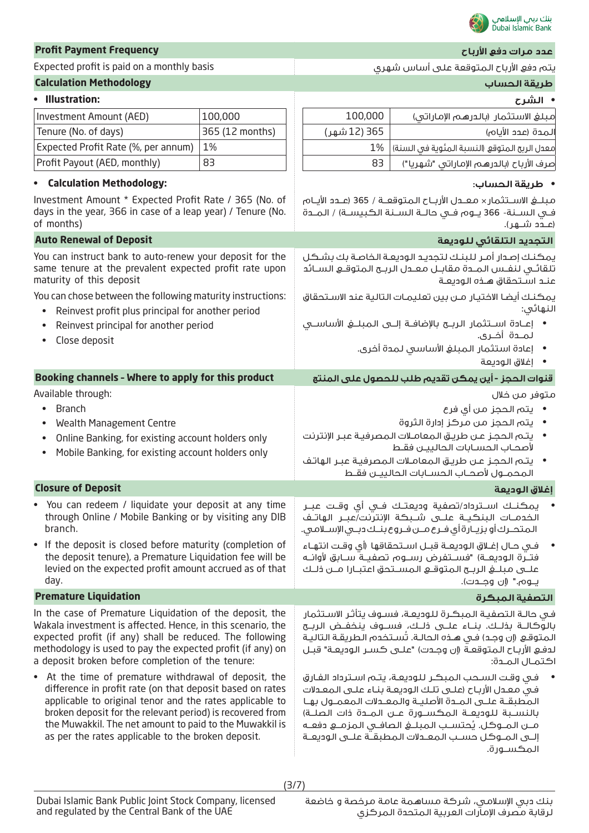

| <b>Profit Payment Frequency</b>                                                                                                                                                                                                                                                                                                                              |                 |              | عدد مرات دفع الأرباح                                                                                                                                                                                                                                                                                                                                                   |
|--------------------------------------------------------------------------------------------------------------------------------------------------------------------------------------------------------------------------------------------------------------------------------------------------------------------------------------------------------------|-----------------|--------------|------------------------------------------------------------------------------------------------------------------------------------------------------------------------------------------------------------------------------------------------------------------------------------------------------------------------------------------------------------------------|
| Expected profit is paid on a monthly basis                                                                                                                                                                                                                                                                                                                   |                 |              | يتم دفع الأرباح المتوقعة على أساس شهري                                                                                                                                                                                                                                                                                                                                 |
| <b>Calculation Methodology</b>                                                                                                                                                                                                                                                                                                                               |                 |              | طريقة الحساب                                                                                                                                                                                                                                                                                                                                                           |
| • Illustration:                                                                                                                                                                                                                                                                                                                                              |                 |              | • الشرح                                                                                                                                                                                                                                                                                                                                                                |
| Investment Amount (AED)                                                                                                                                                                                                                                                                                                                                      | 100,000         | 100,000      | مبلغ الاستثمار (بالدرهم الإماراتي)                                                                                                                                                                                                                                                                                                                                     |
| Tenure (No. of days)                                                                                                                                                                                                                                                                                                                                         | 365 (12 months) | 365 (12 شهر) | المدة (عدد الأيام)                                                                                                                                                                                                                                                                                                                                                     |
| Expected Profit Rate (%, per annum)                                                                                                                                                                                                                                                                                                                          | 1%              | 1%           | معدل الربح المتوقع (النسبة المئوية في السنة)                                                                                                                                                                                                                                                                                                                           |
| Profit Payout (AED, monthly)                                                                                                                                                                                                                                                                                                                                 | 83              | 83           | صرف الأرباح (بالدرهم الإماراتي "شهريا")                                                                                                                                                                                                                                                                                                                                |
| <b>Calculation Methodology:</b>                                                                                                                                                                                                                                                                                                                              |                 |              | • طريقة الحساب:                                                                                                                                                                                                                                                                                                                                                        |
| Investment Amount * Expected Profit Rate / 365 (No. of<br>days in the year, 366 in case of a leap year) / Tenure (No.<br>of months)                                                                                                                                                                                                                          |                 |              | فـي الســنة- 366 يــوم فــي حالــة الســنة الكبيســة) / المــدة<br>(عــدد شـــهـر).                                                                                                                                                                                                                                                                                    |
| <b>Auto Renewal of Deposit</b>                                                                                                                                                                                                                                                                                                                               |                 |              | التجديد التلقائي للوديعة                                                                                                                                                                                                                                                                                                                                               |
| You can instruct bank to auto-renew your deposit for the<br>same tenure at the prevalent expected profit rate upon<br>maturity of this deposit                                                                                                                                                                                                               |                 |              | يمكنك إصدار أمـر للبنـك لتجديـد الوديعـة الخاصة بك بشـكل<br>تلقائى لنفس المـدة مقابـل معـدل الربـح المتوقـع السـائد<br>عنـد اسـتحقاق هــذه الـوديعــة                                                                                                                                                                                                                  |
| You can chose between the following maturity instructions:<br>Reinvest profit plus principal for another period                                                                                                                                                                                                                                              |                 |              | يمكنك أيضا الاختيار مـن بين تعليمـات التالية عند الاسـتحقاق<br>النهائى:                                                                                                                                                                                                                                                                                                |
| Reinvest principal for another period<br>Close deposit                                                                                                                                                                                                                                                                                                       |                 |              | • إعــادة اســتثمار الربـــح بالإضافـــة إلــــى الـمـبـلـــــــــــــــــو الأساســـــــــــ<br>لمـــدة أخــري.<br>• إعادة استثمار المبلغ الأساسى لمدة أخرى.<br>• إغلاق الوديعة                                                                                                                                                                                       |
| Booking channels - Where to apply for this product                                                                                                                                                                                                                                                                                                           |                 |              | قنوات الحجز - أين يمكن تقديم طلب للحصول على المنتج                                                                                                                                                                                                                                                                                                                     |
| Available through:                                                                                                                                                                                                                                                                                                                                           |                 |              | متوفر من خلال                                                                                                                                                                                                                                                                                                                                                          |
| <b>Branch</b><br>$\bullet$<br><b>Wealth Management Centre</b><br>Online Banking, for existing account holders only<br>Mobile Banking, for existing account holders only                                                                                                                                                                                      |                 |              | •    يتم الحجز من أي فرع<br>• يتم الحجز من مركز إدارة الثروة<br>يتم الحجز عن طريق المعاملات المصرفية عبر الإنترنت<br>لأصحاب الحسابات الحاليين فقط<br>•     يتـم الـحجـز عـن طريـق الـمعامـلات الـمصرفيـة عبـر الـهاتـف<br>المحمـول لأصحـاب الحسـابات الحالييــن فقـط                                                                                                   |
| <b>Closure of Deposit</b>                                                                                                                                                                                                                                                                                                                                    |                 |              | إغلاق الوديعة                                                                                                                                                                                                                                                                                                                                                          |
| • You can redeem / liquidate your deposit at any time<br>through Online / Mobile Banking or by visiting any DIB<br>branch.                                                                                                                                                                                                                                   |                 |              | يمكنــك اســترداد/تصفية وديعتــك فــى أى وقــت عبــر<br>الخدمــات البنكيــة علـــى شــبكـة الإنترنت/عبــر الـهاتــف<br>المتحــرك أو بزيــارة أى فــرع مــن فــروع بنــك دبــى الإســلامـى.                                                                                                                                                                             |
| • If the deposit is closed before maturity (completion of<br>the deposit tenure), a Premature Liquidation fee will be<br>levied on the expected profit amount accrued as of that<br>day.                                                                                                                                                                     |                 |              | في حـال إغــلاق الـوديعــة قبــل اســتحقاقها (أي وقـت انتهـاء<br>فتــرة الـوديعــة) "فســتفرض رســـوم تصفيــة ســـابق لأوانــه<br>يـــوم." (إن وجـــدت).                                                                                                                                                                                                               |
| <b>Premature Liquidation</b>                                                                                                                                                                                                                                                                                                                                 |                 |              | التصفية المبكرة                                                                                                                                                                                                                                                                                                                                                        |
| In the case of Premature Liquidation of the deposit, the<br>Wakala investment is affected. Hence, in this scenario, the<br>expected profit (if any) shall be reduced. The following<br>methodology is used to pay the expected profit (if any) on<br>a deposit broken before completion of the tenure:                                                       |                 |              | فى حالـة التصفيـة الـمبكـرة للـوديعـة، فسـوف يتأثـر الاسـتثمار<br>بالوكالــة بخلــك. بنــاء علـــى خلــك، فســـوف ينخفــض الربــح<br>المتوقع (إن وجد) في هـذه الحالـة. تُسـتخدم الطريقـة التاليـة<br>لدفـع الأربـاح الـمتوقعـة (إن وجـدت) "علــى كسـر الـوديعـة" قبـل<br>اكتمـال المـدة:                                                                               |
| • At the time of premature withdrawal of deposit, the<br>difference in profit rate (on that deposit based on rates<br>applicable to original tenor and the rates applicable to<br>broken deposit for the relevant period) is recovered from<br>the Muwakkil. The net amount to paid to the Muwakkil is<br>as per the rates applicable to the broken deposit. |                 |              | في وقت السحب المبكر للوديعة، يتم استرداد الفارق<br>في معدل الأرباح (علـي تلـك الـوديعـة بنـاء علـي الـمعـدلات<br>المطبقة علـى المـدة الأصليـة والمعـدلات المعمـول بهـا<br>بالنسـبة للوديعــة المكسـورة عــن المــدة ذات الصلــة)<br>مــن المــوكل. يُحتسـب المبلــغ الصافــى المزمــع دفعــه<br>إلــى المــوكل حسـب المعــدلات المطبقــة علــى الـوديعــة<br>المكسورة. |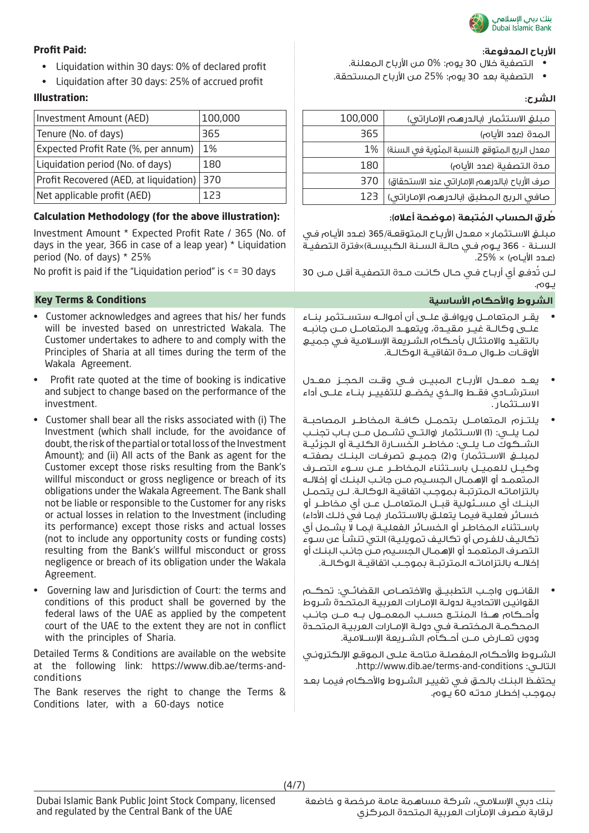

## **األرباح المدفوعة: :Paid Profit**

- التصفية خالل 30 يوم: 0% من األرباح المعلنة.
- التصفية بعد 30 يوم: 25% من األرباح المستحقة.

| مبلغ الاستثمار (بالدرهم الإماراتي)            | 100,000 |
|-----------------------------------------------|---------|
| الـمدة (عدد الأيام)                           | 365     |
| معدل الربح المتوقع (النسبة المئوية في السنة)  | 1%      |
| مدة التصفية (عدد الأيام)                      | 180     |
| صرف الأرباح (بالدرهم الإماراتي عند الاستحقاق) | 370     |
| صافي الربح المطبق (بالدرهم الإماراتي)         | 123     |

مبلـغ االسـتثمار× معـدل األربـاح المتوقعـة365/ )عـدد األيـام فـي السـنة - 366 يـوم فـي حالـة السـنة الكبيسـة)×فترة التصفيـة )عـدد األيـام( × .25%

لـن تُدفـع أي أربـاح فـي حـال كانـت مـدة التصفيـة أقـل مـن 30 يـوم.

### **الشروط واألحكام األساسية Conditions & Terms Key**

- يقــر المتعامــل ويوافــق علــى أن أموالــه ستســتثمر بنــاء علــى وكالــة غيــر مقيــدة، ويتعهــد المتعامــل مــن جانبــه بالتقيـد واالمتثـال بأحـكام الشـريعة اإلسـامية فـي جميـع األوقــات طــوال مــدة اتفاقيــة الوكالــة.
- يعــد معــدل األربــاح المبيــن فــي وقــت الحجــز معــدل استرشــادي فقــط والــذي يخضــع للتغييــر بنــاء علــى أداء االســتثمار.
- يلتــزم المتعامــل بتحمــل كافــة المخاطــر المصاحبــة لمــا يلــي: )1( االســتثمار )والتــي تشــمل مــن بــاب تجنــب الشــكوك مــا يلــي: مخاطــر الخســارة الكليــة أو الجزئيــة لمبلــغ االســتثمار( و)2( جميــع تصرفــات البنــك بصفتــه وكيــل للعميــل باســتثناء المخاطــر عــن ســوء التصــرف المتعمــد أو اإلهمــال الجســيم مــن جانــب البنــك أو إخاللــه بالتزاماتـه المترتبـة بموجـب اتفاقيـة الوكالـة. لـن يتحمـل البنــك أي مســئولية قبــل المتعامــل عــن أي مخاطــر أو خسـائر فعليـة فيمـا يتعلـق بالاسـتثمار (بمـا في ذلـك الأداء) باسـتثناء المخاطـر أو الخسـائر الفعليـة )بمـا ال يشـمل أي تكاليـف للفـرص أو تكاليـف تمويليـة) الـتى تنشـأ عن سـوء التصـرف المتعمـد أو اإلهمـال الجسـيم مـن جانـب البنـك أو إخاللــه بالتزاماتــه المترتبــة بموجــب اتفاقيــة الوكالــة.
- القانــون واجــب التطبيــق واالختصــاص القضائــي: تحكــم القوانيـن االتحاديـة لدولـة اإلمـارات العربيـة المتحـدة شـروط وأحــكام هــذا المنتــج حســب المعمــول بــه مــن جانــب المحكمــة المختصــة فــي دولــة اإلمــارات العربيــة المتحــدة ودون تعــارض مــن أحــكام الشــريعة اإلســامية.

الشـروط واألحـكام المفصلـة متاحـة علـى الموقـع اإللكترونـي .http://www.dib.ae/terms-and-conditions :التالـي

يحتفـظ البنـك بالحـق فـي تغييـر الشـروط واألحـكام فيمـا بعـد بموجـب إخطـار مدتـه 60 يـوم.

- Liquidation within 30 days: 0% of declared profit
- Liquidation after 30 days: 25% of accrued profit

# **الشرح: :Illustration**

| Investment Amount (AED)                | 100,000 |
|----------------------------------------|---------|
| Tenure (No. of days)                   | 365     |
| Expected Profit Rate (%, per annum)    | 1%      |
| Liquidation period (No. of days)       | 180     |
| Profit Recovered (AED, at liquidation) | 370     |
| Net applicable profit (AED)            | 123     |

### **ُط ُ رق الحساب المتبعة )موضحة أعاله(: :(illustration above the for (Methodology Calculation**

Investment Amount \* Expected Profit Rate / 365 (No. of days in the year, 366 in case of a leap year) \* Liquidation period (No. of days) \* 25%

No profit is paid if the "Liquidation period" is  $\leq$  30 days

- Customer acknowledges and agrees that his/ her funds will be invested based on unrestricted Wakala. The Customer undertakes to adhere to and comply with the Principles of Sharia at all times during the term of the Wakala Agreement.
- Profit rate quoted at the time of booking is indicative and subject to change based on the performance of the investment.
- Customer shall bear all the risks associated with (i) The Investment (which shall include, for the avoidance of doubt, the risk of the partial or total loss of the Investment Amount); and (ii) All acts of the Bank as agent for the Customer except those risks resulting from the Bank's willful misconduct or gross negligence or breach of its obligations under the Wakala Agreement. The Bank shall not be liable or responsible to the Customer for any risks or actual losses in relation to the Investment (including its performance) except those risks and actual losses (not to include any opportunity costs or funding costs) resulting from the Bank's willful misconduct or gross negligence or breach of its obligation under the Wakala Agreement.
- Governing law and Jurisdiction of Court: the terms and conditions of this product shall be governed by the federal laws of the UAE as applied by the competent court of the UAE to the extent they are not in conflict with the principles of Sharia.

Detailed Terms & Conditions are available on the website at the following link: https://www.dib.ae/terms-andconditions

The Bank reserves the right to change the Terms & Conditions later, with a 60-days notice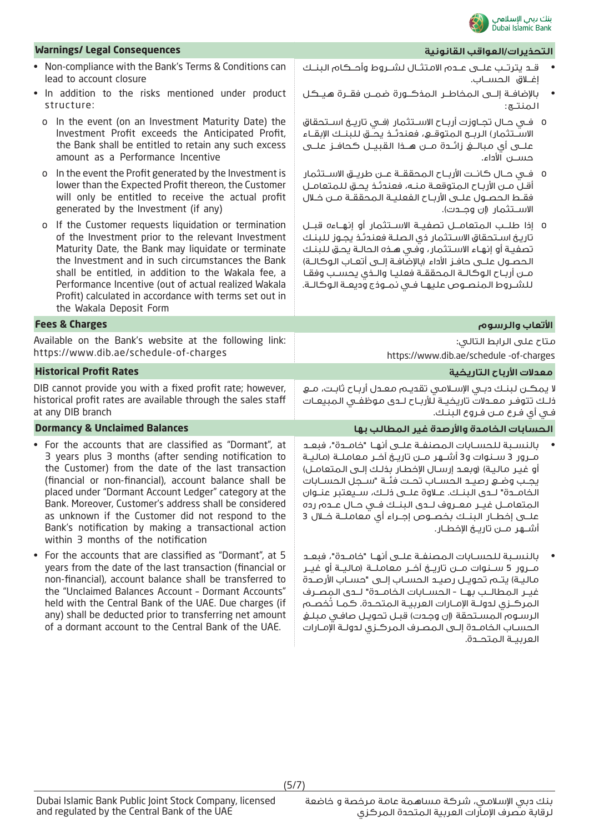

| <b>Warnings/ Legal Consequences</b>                                                                                                                                                                                                                                                                                                                                                                                                                                                                     | التحذيرات/العواقب القانونية                                                                                                                                                                                                                                                                                                                                                                                                                                                               |
|---------------------------------------------------------------------------------------------------------------------------------------------------------------------------------------------------------------------------------------------------------------------------------------------------------------------------------------------------------------------------------------------------------------------------------------------------------------------------------------------------------|-------------------------------------------------------------------------------------------------------------------------------------------------------------------------------------------------------------------------------------------------------------------------------------------------------------------------------------------------------------------------------------------------------------------------------------------------------------------------------------------|
| • Non-compliance with the Bank's Terms & Conditions can<br>lead to account closure                                                                                                                                                                                                                                                                                                                                                                                                                      | قـد يترتـب علــى عــدم الامتثــال لشــروط وأحــكام البنــك<br>إغــلاق الحســاب.                                                                                                                                                                                                                                                                                                                                                                                                           |
| . In addition to the risks mentioned under product<br>structure:                                                                                                                                                                                                                                                                                                                                                                                                                                        | بالإضافــة إلـــى الـمخاطــر الـمذكـــورة ضمـــن فقــرة هـيــكــل<br>المنتج:                                                                                                                                                                                                                                                                                                                                                                                                              |
| o In the event (on an Investment Maturity Date) the<br>Investment Profit exceeds the Anticipated Profit,<br>the Bank shall be entitled to retain any such excess<br>amount as a Performance Incentive                                                                                                                                                                                                                                                                                                   | 0   فـى حـال تجــاوزت أربــاح الاســتثمار  (فــى تاريــخ اســتحقاق<br>الاسـتثمار) الربـح المتوقــع، فعندئــذ يحــُـق للبنــك الإبقــاء<br>حســـن الأداء.                                                                                                                                                                                                                                                                                                                                  |
| In the event the Profit generated by the Investment is<br>0<br>lower than the Expected Profit thereon, the Customer<br>will only be entitled to receive the actual profit<br>generated by the Investment (if any)                                                                                                                                                                                                                                                                                       | 0    فــى حــال كـانــت الأربــاح الـمحققــة عــن طريــق الاســتثمار<br>أقلّ مـن الأرباح المتوقعـة منـه، فعندئـذ يحـق للمتعامـل<br>فقط الحصـول علــى الأربـاح الفعليـة الـمحققــة مــن خــلال<br>الاســـتثمار (إن وجـــدت).                                                                                                                                                                                                                                                               |
| o If the Customer requests liquidation or termination<br>of the Investment prior to the relevant Investment<br>Maturity Date, the Bank may liquidate or terminate<br>the Investment and in such circumstances the Bank<br>shall be entitled, in addition to the Wakala fee, a<br>Performance Incentive (out of actual realized Wakala<br>Profit) calculated in accordance with terms set out in<br>the Wakala Deposit Form                                                                              | 0 إذا طلـب المتعامــل تصفيــة الاســتثمار أو إنهــاءه قبــل<br>تاريخ استحقاق الاستثمار ذى الصلة فعندئذ يجوز للبنك<br>تصفية أو إنهاء الاستثمار، وفي هـذه الحالـة يحـق لـلبنـك<br>الحصــول علـــى حافــز الأداء (بالإضّافــة إلـــى أتعــاب الـوكالــة)<br>مــن أربــاح الـوكالــة الـمحققــة فعليــا والــذى يحسـب وفقــا<br>للشروط المنصوص عليها فى نمـوذج وديعـة الوكالـة.                                                                                                               |
| <b>Fees &amp; Charges</b>                                                                                                                                                                                                                                                                                                                                                                                                                                                                               | الأتعاب والرسوم                                                                                                                                                                                                                                                                                                                                                                                                                                                                           |
| Available on the Bank's website at the following link:<br>https://www.dib.ae/schedule-of-charges                                                                                                                                                                                                                                                                                                                                                                                                        | متاح على الرابط التالي:<br>https://www.dib.ae/schedule -of-charges                                                                                                                                                                                                                                                                                                                                                                                                                        |
| <b>Historical Profit Rates</b>                                                                                                                                                                                                                                                                                                                                                                                                                                                                          | معدلات الأرباح التاريخية                                                                                                                                                                                                                                                                                                                                                                                                                                                                  |
| DIB cannot provide you with a fixed profit rate; however,<br>historical profit rates are available through the sales staff<br>at any DIB branch                                                                                                                                                                                                                                                                                                                                                         | لا يمكــن لـبـنــك دبــى الإســلامــى تقديــم مـعــدل أربــاح ثابــت، مـــع<br>ذلـك تتوفـر معـدلات تاريخيـة للأربـاح لـدى موظفـى المبيعـات<br>فـي أي فـرع مــن فـروع الـبنــك.                                                                                                                                                                                                                                                                                                            |
| <b>Dormancy &amp; Unclaimed Balances</b>                                                                                                                                                                                                                                                                                                                                                                                                                                                                | الحسابات الخامدة والأرصدة غير المطالب بها                                                                                                                                                                                                                                                                                                                                                                                                                                                 |
| • For the accounts that are classified as "Dormant", at<br>3 years plus 3 months (after sending notification to<br>the Customer) from the date of the last transaction<br>(financial or non-financial), account balance shall be<br>placed under "Dormant Account Ledger" category at the<br>Bank. Moreover, Customer's address shall be considered<br>as unknown if the Customer did not respond to the<br>Bank's notification by making a transactional action<br>within 3 months of the notification | بالنسـبة للحسـابات المصنفـة علــى أنهـا "خامــدة"، فبعـد<br>مـرور 3 سـنوات و3 أشــهر مــن تاريــخ آخـر معاملــة (ماليـة<br>أو غيـر ماليـة) (وبعـد إرسـال الإخطـار بـذلـك إلــى الـمتعامـل)<br>يجب وضع رصيـد الحسـاب تحـت فئـة "سـجل الحسـابات<br>الخامــدة" لــدى الـبنــك. عــلاوة علـــى ذلــك، ســيعتبر عنــوان<br>المتعامـل غيـر معـروف لـدى البنـك فـى حـال عـدم رده<br>علـــــى إفطــار الـبنـــك بـفصـــوص إجــراء أي معامـلـــة فـــلال 3<br>أشـــهر مـــن تاريـــــخ الإخطـــار. |
| • For the accounts that are classified as "Dormant", at 5<br>years from the date of the last transaction (financial or<br>non-financial), account balance shall be transferred to<br>the "Unclaimed Balances Account - Dormant Accounts"<br>held with the Central Bank of the UAE. Due charges (if<br>any) shall be deducted prior to transferring net amount                                                                                                                                           | بالنسـبة للحسـابات المصنفـة علــى أنهـا "خامــدة"، فبعـد<br>مـــرور 5 ســـنـوات مـــن تاريـــخ آخـــر مـعامـلـــة (مـالـيــة أو غيـــر<br>ماليـة) يتـم تحويـل رصيـد الـحسـاب إلــى "حسـاب الأرصـدة<br>غيـر المطالـب بهـا - الحسـابات الـفامــدة" لــدى المصـرف<br>المركـزى لدولـة الإمــارات العربيــة المتحــدة. كمــا تُخصــم<br>الرسـوم المسـتحقة (إن وجـدت) قبـل تحويـل صافـى مبلـغ                                                                                                   |

الحسـاب الخامـدة إلـى المصـرف المركـزي لدولـة اإلمـارات

العربيــة المتحــدة.

of a dormant account to the Central Bank of the UAE.

(5/7)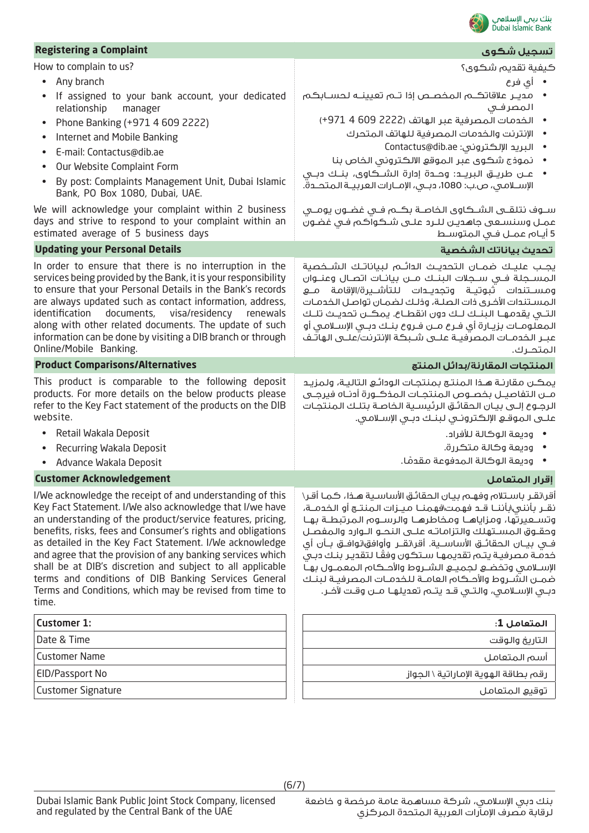

| <b>Registering a Complaint</b>                                                                                            | تسجيل شكوى                                                                                                                                         |
|---------------------------------------------------------------------------------------------------------------------------|----------------------------------------------------------------------------------------------------------------------------------------------------|
| How to complain to us?                                                                                                    | كيفية تقديم شكوى؟                                                                                                                                  |
| Any branch<br>$\bullet$                                                                                                   | • أي فرع                                                                                                                                           |
| If assigned to your bank account, your dedicated                                                                          | •     مديــر علاقاتكـــم الـمخصــص إذا تـــم تعيينـــه لـحســـابكــم                                                                               |
| relationship<br>manager                                                                                                   | المصرفى<br>• الخدمات المصرفية عبر الهاتف (2222 609 4 971+)                                                                                         |
| Phone Banking (+971 4 609 2222)<br>$\bullet$<br>Internet and Mobile Banking                                               | • الإنترنت والخدمات المصرفية للهاتف المتحرك                                                                                                        |
| E-mail: Contactus@dib.ae                                                                                                  | • البريد الإلكتروني: Contactus@dib.ae                                                                                                              |
| Our Website Complaint Form                                                                                                | • نموذج شكوى عبر الموقع الالكتروني الخاص بنا                                                                                                       |
| By post: Complaints Management Unit, Dubai Islamic                                                                        |                                                                                                                                                    |
| Bank, PO Box 1080, Dubai, UAE.                                                                                            | الإسـلامـى، ص.ب: 1080، دبـى، الإمـارات العربيـة المتحـدة.                                                                                          |
| We will acknowledge your complaint within 2 business                                                                      | ســوف نتلقــى الشــكاوى الخاصــة بـكــم فــى غضــون يومـــى                                                                                        |
| days and strive to respond to your complaint within an                                                                    | عمـل وسنسـعـى جاهديـن لـلـرد علــى شـكـوآكـم فـى غضـون                                                                                             |
| estimated average of 5 business days                                                                                      | 5 أيـام عمـل فـى المتوسـط                                                                                                                          |
| <b>Updating your Personal Details</b>                                                                                     | تحديث بياناتك الشخصية                                                                                                                              |
| In order to ensure that there is no interruption in the<br>services being provided by the Bank, it is your responsibility | يجـب عليـك ضمــان التحديــث الدائــم لبياناتــك الشــخصية<br>المســجلة فــى ســجلات الـبنــك مـــن بيانــات اتصــال وعنــوان                       |
| to ensure that your Personal Details in the Bank's records                                                                | ومســـتندات ثبوتيـــة وتجديـــدات لـلـتأشــــيرة/الإقامـة مـــع                                                                                    |
| are always updated such as contact information, address,                                                                  | المستندات الأخرى ذات الصلة، وذلك لضمان تواصل الخدمات                                                                                               |
| identification<br>documents,<br>visa/residency<br>renewals<br>along with other related documents. The update of such      | التـــى يقدمـهــــا الـبنـــك لـــك دون انقطـــاع. يمكـــن تحديـــث تلـــك<br>المعلومــات بزيــارة أى فــرع مــن فــروع بنــك دبــى الإســلامـى أو |
| information can be done by visiting a DIB branch or through                                                               | عبــر الــــذمـــات الـمصرفيـــة علــــى شـــبــكـة الإنـترنت/علــــى الـهاتــف                                                                    |
| Online/Mobile Banking.                                                                                                    | المتحرك.                                                                                                                                           |
| <b>Product Comparisons/Alternatives</b>                                                                                   | المنتجات المقارنة/بدائل المنتج                                                                                                                     |
| This product is comparable to the following deposit                                                                       | يمكن مقارنة هـذا المنتج بمنتجـات الودائـع التاليـة، ولمزيـد                                                                                        |
| products. For more details on the below products please<br>refer to the Key Fact statement of the products on the DIB     | مــن التفاصيــل بخصــوص الـمنتجــات الـمذكــورة أدنــاه فيرجــى<br>الرجوع إلـى بيـان الحقائـق الرئيسـية الخاصـة بتلـك المنتجـات                    |
| website.                                                                                                                  |                                                                                                                                                    |
| Retail Wakala Deposit<br>$\bullet$                                                                                        |                                                                                                                                                    |
|                                                                                                                           |                                                                                                                                                    |
| Recurring Wakala Deposit                                                                                                  | • وديعة الوكالة للأفراد.<br>• وديعة وكالة متكررة.                                                                                                  |
| Advance Wakala Deposit                                                                                                    | • وديعة الوكالة المدفوعة مقدمًا.                                                                                                                   |
| <b>Customer Acknowledgement</b>                                                                                           |                                                                                                                                                    |
| I/We acknowledge the receipt of and understanding of this                                                                 | أقر\نقـر باسـتلام وفهـم بيـان الحقائـق الأساسـية هـذا، كـمـا أقـر\                                                                                 |
| Key Fact Statement. I/We also acknowledge that I/we have                                                                  | إقرار المتعامل<br>نقــر بأننـى\بأننــا قــد فهمت\فهمنــا مـيــزات الـمنتــج أو الـخدمــة،                                                          |
| an understanding of the product/service features, pricing,                                                                | وتسلعيرتها، ومزاياهــا ومخاطرهــا والرســوم المرتبطــة بهـا                                                                                        |
| benefits, risks, fees and Consumer's rights and obligations<br>as detailed in the Key Fact Statement. I/We acknowledge    | وحقـوق المســتهلك والتزاماتـه علــى النحــو الــوارد والمفصـل                                                                                      |
| and agree that the provision of any banking services which                                                                | فــى بيــان الـحقائــق الأساســـية. أقر\تقـــر وأوافق\نوافــق بــأن أى<br>خدمة مصرفية يتم تقديمها ستكون وفقًا لتقدير بنك دبي                       |
| shall be at DIB's discretion and subject to all applicable                                                                | الإســلامـى وتخضــع لـجميــع الشــروط والأحــكام المعمــول بهـا                                                                                    |
| terms and conditions of DIB Banking Services General                                                                      | ضمـن الشـروط والأحـكام العامـة للخدمـات المصرفيـة لبنـك                                                                                            |
| Terms and Conditions, which may be revised from time to<br>time.                                                          | دبـي الإســلامـي، والـتــي قــد يـتــم تعديلـهــا مــن وقـت لآخــر.                                                                                |
| <b>Customer 1:</b>                                                                                                        | المتعامل 1:                                                                                                                                        |
| Date & Time                                                                                                               | التاريخ والوقت                                                                                                                                     |
| <b>Customer Name</b>                                                                                                      | أسم المتعامل                                                                                                                                       |

توقيع المتعامل

Customer Signature